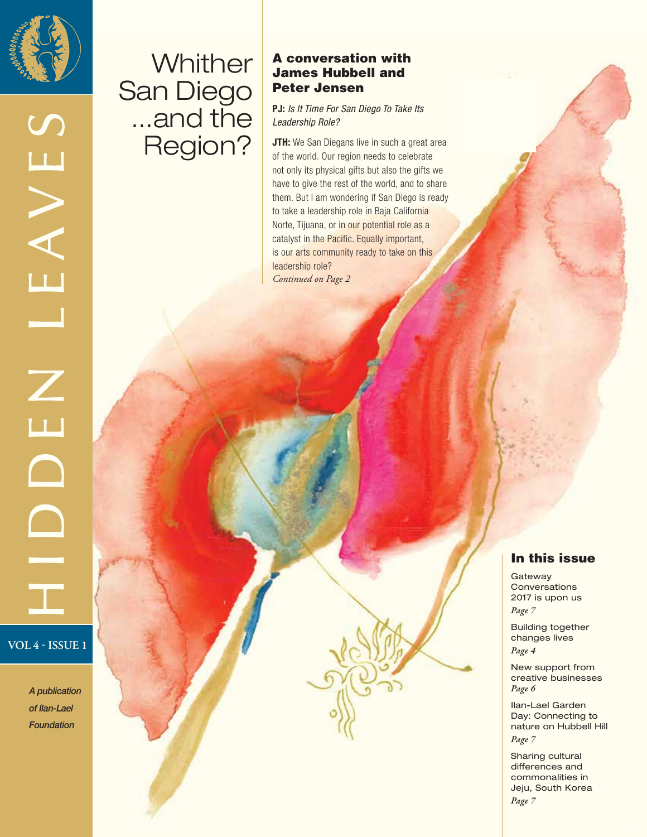

LEAVES

 $\overline{L}$ 

# **Whither** San Diego ...and the Region?

#### A conversation with James Hubbell and Peter Jensen

**PJ:** *Is It Time For San Diego To Take Its Leadership Role?* 

**JTH:** We San Diegans live in such a great area of the world. Our region needs to celebrate not only its physical gifts but also the gifts we have to give the rest of the world, and to share them. But I am wondering if San Diego is ready to take a leadership role in Baja California Norte, Tijuana, or in our potential role as a catalyst in the Pacific. Equally important, is our arts community ready to take on this leadership role? *Continued on Page 2*

# **VOL 4 - ISSUE 1**

*A publication of Ilan-Lael Foundation*

#### In this issue

**Gateway Conversations** 2017 is upon us *Page 7*

Building together changes lives *Page 4*

New support from creative businesses *Page 6* 

Ilan-Lael Garden Day: Connecting to nature on Hubbell Hill *Page 7*

Sharing cultural differences and commonalities in Jeju, South Korea *Page 7*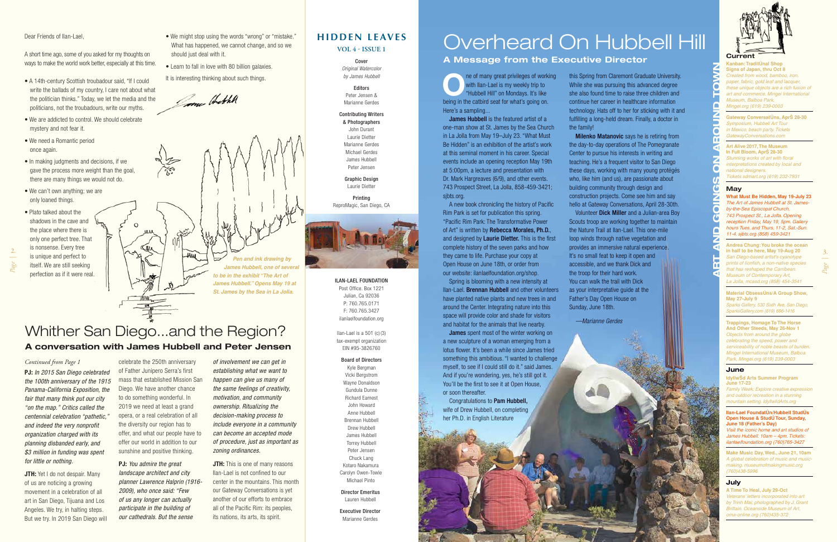## **HIDDEN LEAVES**

**VOL 4 - ISSUE 1**

Cover *Original Watercolor by James Hubbell* 

#### Editors Peter Jensen & Marianne Gerdes

#### Contributing Writers

& Photographers John Durant Laurie Dietter Marianne Gerdes Michael Gerdes James Hubbell Peter Jensen

Graphic Design Laurie Dietter

Printing ReproMagic, San Diego, CA



#### ILAN-LAEL FOUNDATION

Post Office. Box 1221 Julian, Ca 92036 P: 760.765.0171 F: 760.765.3427 ilanlaelfoundation.org

Ilan-Lael is a 501 (c) (3) tax-exempt organization EIN #95-3826760

#### Board of Directors

Kyle Bergman Vicki Bergstrom Wayne Donaldson Gundula Dunne Richard Earnest John Howard Anne Hubbell Brennan Hubbell Drew Hubbell James Hubbell Torrey Hubbell Peter Jensen Chuck Lang Kotaro Nakamura Carolyn Owen-Towle Michael Pinto

Director Emeritus Lauren Hubbell

Executive Director Marianne Gerdes

- We might stop using the words "wrong" or "mistake." What has happened, we cannot change, and so we should just deal with it.
- Learn to fall in love with 80 billion galaxies.
- It is interesting thinking about such things.

#### Dear Friends of Ilan-Lael.

A short time ago, some of you asked for my thoughts on ways to make the world work better, especially at this time.

- A 14th-century Scottish troubadour said, "If I could write the ballads of my country, I care not about what the politician thinks." Today, we let the media and the politicians, not the troubadours, write our myths.
- We are addicted to control. We should celebrate mystery and not fear it.
- We need a Romantic period once again.
- In making judgments and decisions, if we gave the process more weight than the goal, there are many things we would not do.
- We can't own anything; we are only loaned things.

**JTH:** Yet I do not despair. Many of us are noticing a growing movement in a celebration of all art in San Diego, Tijuana and Los Angeles. We try, in halting steps. But we try. In 2019 San Diego will

• Plato talked about the shadows in the cave and the place where there is only one perfect tree. That is nonsense. Every tree is unique and perfect to itself. We are still seeking perfection as if it were real.

> **JTH:** This is one of many reasons Ilan-Lael is not confined to our center in the mountains. This month our Gateway Conversations is yet another of our efforts to embrace all of the Pacific Rim: its peoples, its nations, its arts, its spirit.

ne of many great privileges of working with Ilan-Lael is my weekly trip to "Hubbell Hill" on Mondays. It's like being in the catbird seat for what's going on. Here's a sampling...

James Hubbell is the featured artist of a one-man show at St. James by the Sea Church in La Jolla from May 19–July 23. "What Must Be Hidden" is an exhibition of the artist's work at this seminal moment in his career. Special events include an opening reception May 19th at 5:00pm, a lecture and presentation with Dr. Mark Hargreaves (6/9), and other events. 743 Prospect Street, La Jolla, 858-459-3421; sibts.org.

**PJ:** *In 2015 San Diego celebrated the 100th anniversary of the 1915 Panama-California Exposition, the fair that many think put our city "on the map." Critics called the centennial celebration "pathetic," and indeed the very nonprofit organization charged with its planning disbanded early, and \$3 million in funding was spent for little or nothing.*

**James** spent most of the winter working on a new sculpture of a woman emerging from a lotus flower. It's been a while since James tried something this ambitious. "I wanted to challenge myself, to see if I could still do it." said James. And if you're wondering, yes, he's still got it. You'll be the first to see it at Open House, or soon thereafter.

celebrate the 250th anniversary of Father Junipero Serra's first mass that established Mission San Diego. We have another chance to do something wonderful. In 2019 we need at least a grand opera, or a real celebration of all the diversity our region has to offer, and what our people have to offer our world in addition to our sunshine and positive thinking.

this Spring from Claremont Graduate University. While she was pursuing this advanced degree she also found time to raise three children and continue her career in healthcare information technology. Hats off to her for sticking with it and fulfilling a long-held dream. Finally, a doctor in the family! **Milenko Matanovic** says he is retiring from

**PJ:** *You admire the great landscape architect and city planner Lawrence Halprin (1916- 2009), who once said: "Few of us any longer can actually participate in the building of our cathedrals. But the sense* 

*of involvement we can get in establishing what we want to happen can give us many of the same feelings of creativity, motivation, and community ownership. Ritualizing the decision-making process to include everyone in a community can become an accepted mode of procedure, just as important as zoning ordinances.* 

**Kanban: TraditÚnal Shop Signs of Japan, thru Oct 8** *Created from wood, bamboo, iron, paper, fabric, gold leaf and lacquer, these unique objects are a rich fusion of art and commerce. Mingei International Museum, Balboa Park, Mingei.org (619) 239-0003*

**Gateway ConversatÚns, AprŠ 28-30** *Symposium, Hubbell Art Tour in Mexico, beach party. Tickets GatewayConversations.com*

#### *Continued from Page 1*

**Material ObsessUns/A Group Show. May 27-July 9** 

**IdvllwŠd Arts Summer Program June 17-23**

**Ilan-Lael FoundatÚn/Hubbell StudÚs Open House & StudÚ Tour, Sunday, June 18 (Father's Day)**

A new book chronicling the history of Pacific Rim Park is set for publication this spring. "Pacific Rim Park: The Transformative Power of Art" is written by Rebecca Morales, Ph.D., and designed by Laurie Dietter. This is the first complete history of the seven parks and how they came to life. Purchase your copy at Open House on June 18th, or order from our website: ilanlaelfoundation.org/shop.

Jones Hothel ≤ա *Pen and ink drawing by James Hubbell, one of several to be in the exhibit "The Art of James Hubbell." Opens May 19 at St. James by the Sea in La Jolla.*

Spring is blooming with a new intensity at Ilan-Lael. Brennan Hubbell and other volunteers have planted native plants and new trees in and around the Center. Integrating nature into this space will provide color and shade for visitors and habitat for the animals that live nearby.

Congratulations to Pam Hubbell, wife of Drew Hubbell, on completing her Ph.D. in English Literature

the day-to-day operations of The Pomegranate Center to pursue his interests in writing and teaching. He's a frequent visitor to San Diego these days, working with many young protégés who, like him (and us), are passionate about building community through design and construction projects. Come see him and say hello at Gateway Conversations, April 28-30th. Volunteer Dick Miller and a Julian-area Boy Scouts troop are working together to maintain the Nature Trail at Ilan-Lael. This one-mile loop winds through native vegetation and provides an immersive natural experience. It's no small feat to keep it open and accessible, and we thank Dick and the troop for their hard work. You can walk the trail with Dick as your interpretative guide at the Father's Day Open House on

Sunday, June 18th.

*—Marianne Gerdes*

#### **Current**

**Art Alive 2017, The Museum In Full Bloom, AprŠ 28-30** *Stunning works of art with floral interpretations created by local and national designers. Tickets sdmart.org (619) 232-7931*

#### **May**

**What Must Be Hidden, May 19-July 23** *The Art of James Hubbell at St. Jamesby-the-Sea Episcopal Church, 743 Prospect St., La Jolla. Opening reception Friday, May 19, 5pm. Gallery hours Tues. and Thurs. 11-2, Sat.-Sun. 11-4. sjbts.org (858) 459-3421*

**Andrea Chung: You broke the ocean in half to be here, May 19-Aug 20** *San Diego-based artist's cyanotype prints of lionfish, a non-native species that has reshaped the Carribean. Museum of Contemporary Art, La Jolla, mcasd.org (858) 454-3541*

*Sparks Gallery, 530 Sixth Ave, San Diego, SparksGallery.com (619) 696-1416*

**Trappings, Homage To The Horse And Other Steeds, May 26-Nov 1** *Objects from around the globe celebrating the speed, power and serviceability of noble beasts of burden. Mingei International Museum, Balboa Park, Mingei.org (619) 239-0003*

#### **June**

*Family Week: Explore creative expression and outdoor recreation in a stunning mountain setting. IdyllwildArts.org*

*Visit the iconic home and art studios of James Hubbell. 10am – 4pm. Tickets: ilanlaelfoundation.org (760)765-3427*

**Make Music Day, Wed., June 21, 10am**  *A global celebration of music and musicmaking. museumofmakingmusic.org (760)438-5996*

#### **July**

**A Time To Heal, July 29-Oct**  *Veterans' letters incorporated into art by Trinh Mai; photographed by J. Grant Brittain. Oceanside Museum of Art, oma-online.org (760)435-372*





# Overheard On Hubbell Hill

#### **A Message from the Executive Director**

*Page |* **2.**

# Whither San Diego...and the Region? **A conversation with James Hubbell and Peter Jensen**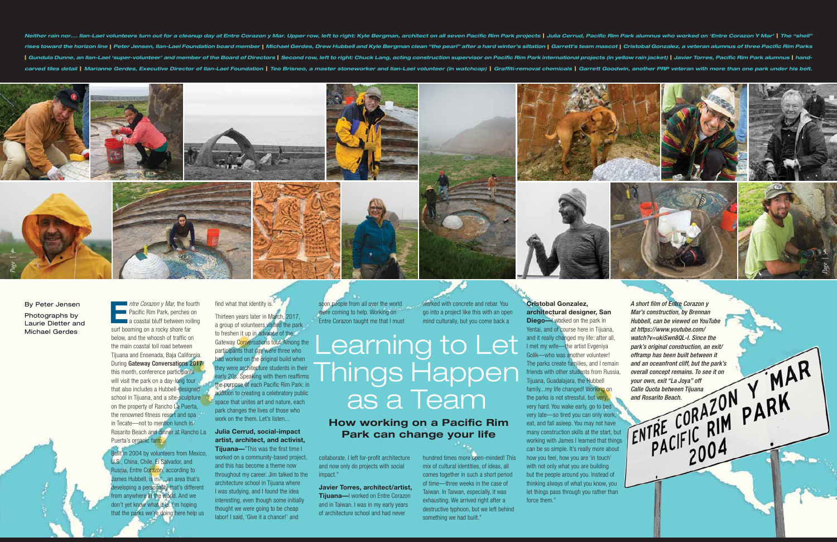**E***ntre Corazon y Mar,* the fourth **Pacific Rim Park, perches on a** coastal bluff between roiling surf booming on a rocky shore far below, and the whoosh of traffic on the main coastal toll road between Tijuana and Ensenada, Baja California. During Gateway Conversations 2017 this month, conference participants will visit the park on a day-long tour that also includes a Hubbell-designed school in Tijuana, and a site-sculpture on the property of Rancho La Puerta,

> the renowned fitness resort and spa in Tecate—not to mention lunch in Rosarito Beach and dinner at Rancho La **Julia Cerrud, social-impact**  Puerta's organic farm.

Built in 2004 by volunteers from Mexico, U.S., China, Chile, El Salvador, and Russia, Entre Corazon, according to James Hubbell, is in "...an area that's developing a personality that's different from anywhere in the world. And we don't yet know what it is. I'm hoping that the parks we're doing here help us

find what that identity is." Thirteen years later in March, 2017, a group of volunteers visited the park to freshen it up in advance of the Gateway Conversations tour. Among the participants that day were three who had worked on the original build when they were architecture students in their early 20s. Speaking with them reaffirms the purpose of each Pacific Rim Park: in addition to creating a celebratory public space that unites art and nature, each park changes the lives of those who work on the them. Let's listen...

## **artist, architect, and activist, Tijuana—**"This was the first time I

soon people from all over the world were coming to help. Working on Entre Corazon taught me that I must

worked on a community-based project, and this has become a theme now throughout my career. Jim talked to the architecture school in Tijuana where I was studying, and I found the idea interesting, even though some initially thought we were going to be cheap labor! I said, 'Give it a chance!' and

collaborate. I left for-profit architecture and now only do projects with social impact."

**Javier Torres, architect/artist, Tijuana—**I worked on Entre Corazon and in Taiwan. I was in my early years of architecture school and had never

go into a project like this with an open

worked with concrete and rebar. You mind culturally, but you come back a

hundred times more open-minded! This mix of cultural identities, of ideas, all comes together in such a short period of time—three weeks in the case of Taiwan. In Taiwan, especially, it was exhausting. We arrived right after a destructive typhoon, but we left behind

something we had built."

**Cristobal Gonzalez,** 





**architectural designer, San Diego—I** worked on the park in Yentai, and of course here in Tijuana, and it really changed my life: after all, I met my wife—the artist Evgeniya Golik—who was another volunteer! The parks create families, and I remain friends with other students from Russia, Tijuana, Guadalajara, the Hubbell family...my life changed! Working on the parks is not stressful, but very, very hard. You wake early, go to bed very late—so tired you can only work, eat, and fall asleep. You may not have many construction skills at the start, but working with James I learned that things can be so simple. It's really more about how you feel, how you are 'in touch' with not only what you are building but the people around you. Instead of thinking always of what you know, you let things pass through you rather than force them."

*A short film of Entre Corazon y Mar's construction, by Brennan Hubbell, can be viewed on YouTube at https://www.youtube.com/ watch?v=ukiSwn8QL-I. Since the park's original construction, an exit/*

*offramp has been built between it and an oceanfront cliff, but the park's overall concept remains. To see it on* 

*your own, exit "La Joya" off Calle Quota between Tijuana* 

*and Rosarito Beach.*

Learning to Let Things Happen as a Team

## **How working on a Pacific Rim Park can change your life**

By Peter Jensen Photographs by Laurie Dietter and Michael Gerdes

*Page |*

**5.**

Neither rain nor.... Ilan-Lael volunteers turn out for a cleanup day at Entre Corazon y Mar. Upper row, left to right: Kyle Bergman, architect on all seven Pacific Rim Park projects | Julia Cerrud, Pacific Rim Park alumnus rises toward the horizon line | Peter Jensen, Ilan-Lael Foundation board member | Michael Gerdes, Drew Hubbell and Kyle Bergman clean "the pearl" after a hard winter's siltation | Garrett's team mascot | Cristobal Gonzalez | Gundula Dunne, an Ilan-Lael 'super-volunteer' and member of the Board of Directors | Second row, left to right: Chuck Lang, acting construction supervisor on Pacific Rim Park international projects (in yellow rain jacket carved tiles detail | Marianne Gerdes, Executive Director of Ilan-Lael Foundation | Teo Brisneo, a master stoneworker and Ilan-Lael volunteer (in watchcap) | Graffiti-removal chemicals | Garrett Goodwin, another PRP vetera

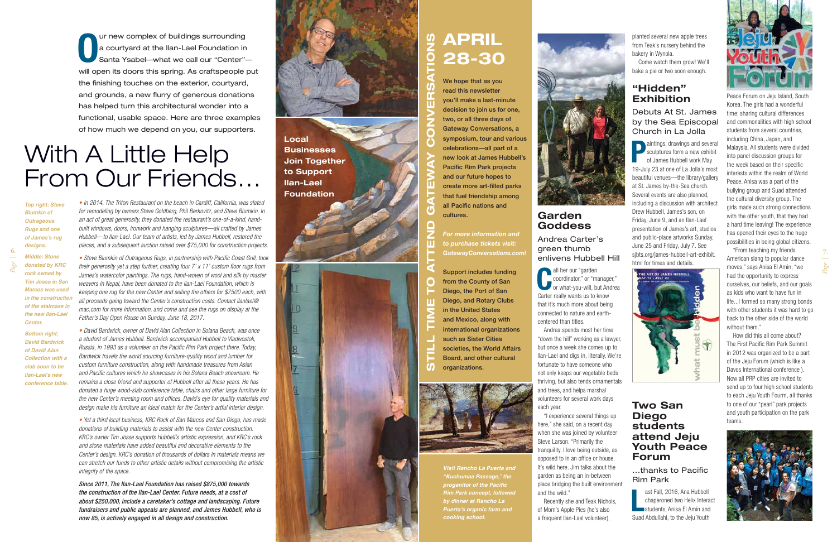**O** ur new complex of buildings surrounding a courtyard at the Ilan-Lael Foundation in Santa Ysabel—what we call our "Center" will open its doors this spring. As craftspeople put the finishing touches on the exterior, courtyard, and grounds, a new flurry of generous donations has helped turn this architectural wonder into a functional, usable space. Here are three examples of how much we depend on you, our supporters.

# **APRIL STILL TIME TO ATTEND GATEWAY CONVERSATIONS**  $\boldsymbol{\omega}$ **28-30**

We hope that as you read this newsletter you'll make a last-minute decision to join us for one, two, or all three days of Gateway Conversations, a symposium, tour and various celebrations—all part of a new look at James Hubbell's Pacific Rim Park projects and our future hopes to create more art-filled parks that fuel friendship among all Pacific nations and cultures.

*For more information and to purchase tickets visit: GatewayConversations.com!*

Support includes funding O from the County of San Diego, the Port of San Diego, and Rotary Clubs in the United States and Mexico, along with international organizations such as Sister Cities societies, the World Affairs Board, and other cultural organizations.



# With A Little Help From Our Friends…

*• In 2014, The Triton Restaurant on the beach in Cardiff, California, was slated for remodeling by owners Steve Goldberg, Phil Berkovitz, and Steve Blumkin. In an act of great generosity, they donated the restaurant's one-of-a-kind, handbuilt windows, doors, ironwork and hanging sculptures—all crafted by James Hubbell—to Ilan-Lael. Our team of artists, led by James Hubbell, restored the pieces, and a subsequent auction raised over \$75,000 for construction projects.* 

*• Steve Blumkin of Outrageous Rugs, in partnership with Pacific Coast Grill, took their generosity yet a step further, creating four 7' x 11' custom floor rugs from James's watercolor paintings. The rugs, hand-woven of wool and silk by master weavers in Nepal, have been donated to the Ilan-Lael Foundation, which is keeping one rug for the new Center and selling the others for \$7500 each, with all proceeds going toward the Center's construction costs. Contact ilanlael@ mac.com for more information, and come and see the rugs on display at the Father's Day Open House on Sunday, June 18, 2017.*

*• David Bardwick, owner of David Alan Collection in Solana Beach, was once a student of James Hubbell. Bardwick accompanied Hubbell to Vladivostok, Russia, in 1993 as a volunteer on the Pacific Rim Park project there. Today, Bardwick travels the world sourcing furniture-quality wood and lumber for custom furniture construction, along with handmade treasures from Asian and Pacific cultures which he showcases in his Solana Beach showroom. He remains a close friend and supporter of Hubbell after all these years. He has donated a huge wood-slab conference table, chairs and other large furniture for the new Center's meeting room and offices. David's eye for quality materials and design make his furniture an ideal match for the Center's artful interior design.* 

> ast Fall, 2016, Ana Hubbell<br>
> chaperoned two Helix Interactions<br>
> students, Anisa El Amin and<br>
> Students is the Isin Youth ast Fall, 2016, Ana Hubbell chaperoned two Helix Interact Suad Abdullahi, to the Jeju Youth



"From teaching my friends American slang to popular dance moves," says Anisa El Amin, "we had the opportunity to express ourselves, our beliefs, and our goals as kids who want to have fun in life...I formed so many strong bonds with other students it was hard to go back to the other side of the world without them."

*• Yet a third local business, KRC Rock of San Marcos and San Diego, has made donations of building materials to assist with the new Center construction. KRC's owner Tim Josse supports Hubbell's artistic expression, and KRC's rock and stone materials have added beautiful and decorative elements to the Center's design. KRC's donation of thousands of dollars in materials means we can stretch our funds to other artistic details without compromising the artistic integrity of the space.*

*Since 2011, The Ilan-Lael Foundation has raised \$875,000 towards the construction of the Ilan-Lael Center. Future needs, at a cost of about \$250,000, include a caretaker's cottage and landscaping. Future fundraisers and public appeals are planned, and James Hubbell, who is now 85, is actively engaged in all design and construction.* 



#### **Garden Goddess**

Andrea Carter's green thumb enlivens Hubbell Hill

**C** all her our "garden coordinator," or "manager," or what-you-will, but Andrea Carter really wants us to know that it's much more about being connected to nature and earthcentered than titles.

Andrea spends most her time "down the hill" working as a lawyer, but once a week she comes up to Ilan-Lael and digs in, literally. We're fortunate to have someone who not only keeps our vegetable beds thriving, but also tends ornamentals and trees, and helps marshal volunteers for several work days each year.

"I experience several things up here," she said, on a recent day when she was joined by volunteer Steve Larson. "Primarily the tranquility. I love being outside, as opposed to in an office or house. It's wild here. Jim talks about the garden as being an in-between place bridging the built environment and the wild."

Recently she and Teak Nichols, of Mom's Apple Pies (he's also a frequent Ilan-Lael volunteer),

planted several new apple trees from Teak's nursery behind the bakery in Wynola.

Come watch them grow! We'll bake a pie or two soon enough.

## **"Hidden" Exhibition**

#### Debuts At St. James by the Sea Episcopal Church in La Jolla

**P** aintings, drawings and several sculptures form a new exhibit of James Hubbell work May 19-July 23 at one of La Jolla's most beautiful venues—the library/gallery at St. James by-the-Sea church. Several events are also planned, including a discussion with architect Drew Hubbell, James's son, on Friday, June 9, and an Ilan-Lael presentation of James's art, studios and public-place artworks Sunday, June 25 and Friday, July 7. See sjbts.org/james-hubbell-art-exhibit. html for times and details.



#### **Two San Diego students attend Jeju Youth Peace Forum**

#### ...thanks to Pacific Rim Park

Peace Forum on Jeju Island, South Korea. The girls had a wonderful time: sharing cultural differences and commonalities with high school students from several countries, including China, Japan, and Malaysia. All students were divided into panel discussion groups for the week based on their specific interests within the realm of World Peace. Anisa was a part of the bullying group and Suad attended the cultural diversity group. The girls made such strong connections with the other youth, that they had a hard time leaving! The experience has opened their eyes to the huge possibilities in being global citizens.

How did this all come about? The First Pacific Rim Park Summit in 2012 was organized to be a part of the Jeju Forum (which is like a Davos International conference ). Now all PRP cities are invited to send up to four high school students to each Jeju Youth Fourm, all thanks to one of our "pearl" park projects and youth participation on the park teams.



**Local Businesses Join Together to Support Ilan-Lael Foundation**

 $10$ 

17

G

*Top right: Steve Blumkin of Outrageous Rugs and one of James's rug designs.* 

*Middle: Stone donated by KRC rock owned by Tim Josse in San Marcos was used in the construction of the staircase in the new Ilan-Lael Center.* 

*Bottom right: David Bardwick of David Alan Collection with a slab soon to be Ilan-Lael's new conference table.*

> *Visit Rancho La Puerta and "Kuchumaa Passage," the progenitor of the Pacific Rim Park concept, followed by dinner at Rancho La Puerta's organic farm and cooking school.*



*Page |*

**6.**